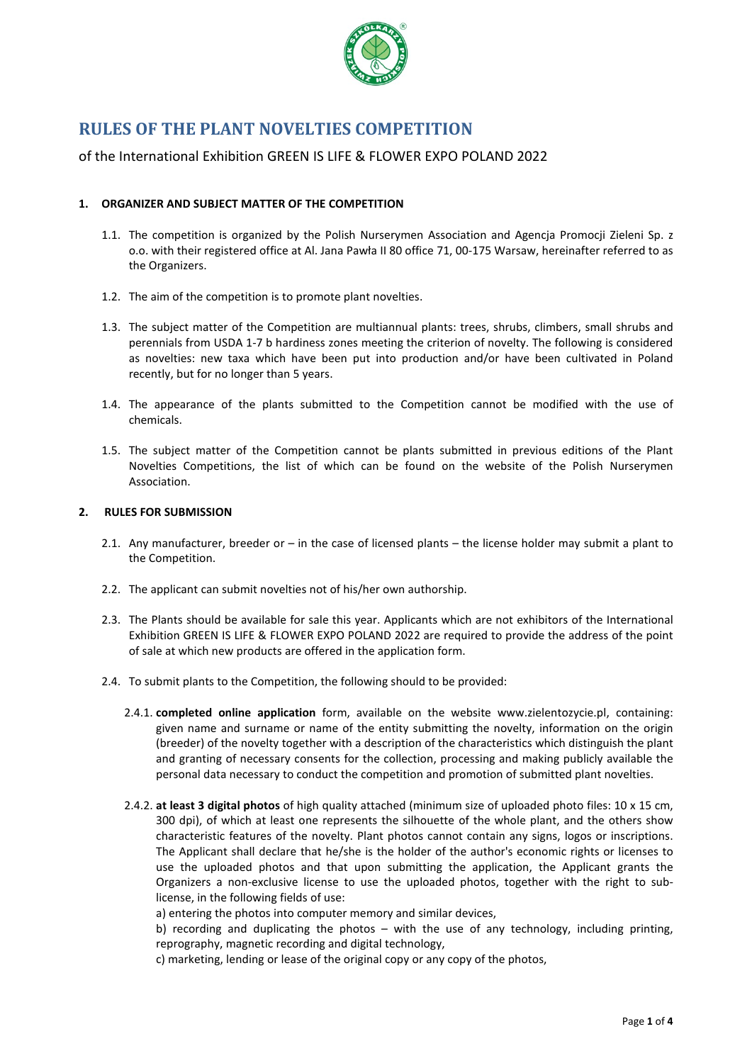

# **RULES OF THE PLANT NOVELTIES COMPETITION**

# of the International Exhibition GREEN IS LIFE & FLOWER EXPO POLAND 2022

## **1. ORGANIZER AND SUBJECT MATTER OF THE COMPETITION**

- 1.1. The competition is organized by the Polish Nurserymen Association and Agencja Promocji Zieleni Sp. z o.o. with their registered office at Al. Jana Pawła II 80 office 71, 00-175 Warsaw, hereinafter referred to as the Organizers.
- 1.2. The aim of the competition is to promote plant novelties.
- 1.3. The subject matter of the Competition are multiannual plants: trees, shrubs, climbers, small shrubs and perennials from USDA 1-7 b hardiness zones meeting the criterion of novelty. The following is considered as novelties: new taxa which have been put into production and/or have been cultivated in Poland recently, but for no longer than 5 years.
- 1.4. The appearance of the plants submitted to the Competition cannot be modified with the use of chemicals.
- 1.5. The subject matter of the Competition cannot be plants submitted in previous editions of the Plant Novelties Competitions, the list of which can be found on the website of the Polish Nurserymen Association.

#### **2. RULES FOR SUBMISSION**

- 2.1. Any manufacturer, breeder or in the case of licensed plants the license holder may submit a plant to the Competition.
- 2.2. The applicant can submit novelties not of his/her own authorship.
- 2.3. The Plants should be available for sale this year. Applicants which are not exhibitors of the International Exhibition GREEN IS LIFE & FLOWER EXPO POLAND 2022 are required to provide the address of the point of sale at which new products are offered in the application form.
- 2.4. To submit plants to the Competition, the following should to be provided:
	- 2.4.1. **completed online application** form, available on the website www.zielentozycie.pl, containing: given name and surname or name of the entity submitting the novelty, information on the origin (breeder) of the novelty together with a description of the characteristics which distinguish the plant and granting of necessary consents for the collection, processing and making publicly available the personal data necessary to conduct the competition and promotion of submitted plant novelties.
	- 2.4.2. **at least 3 digital photos** of high quality attached (minimum size of uploaded photo files: 10 x 15 cm, 300 dpi), of which at least one represents the silhouette of the whole plant, and the others show characteristic features of the novelty. Plant photos cannot contain any signs, logos or inscriptions. The Applicant shall declare that he/she is the holder of the author's economic rights or licenses to use the uploaded photos and that upon submitting the application, the Applicant grants the Organizers a non-exclusive license to use the uploaded photos, together with the right to sublicense, in the following fields of use:

a) entering the photos into computer memory and similar devices,

b) recording and duplicating the photos – with the use of any technology, including printing, reprography, magnetic recording and digital technology,

c) marketing, lending or lease of the original copy or any copy of the photos,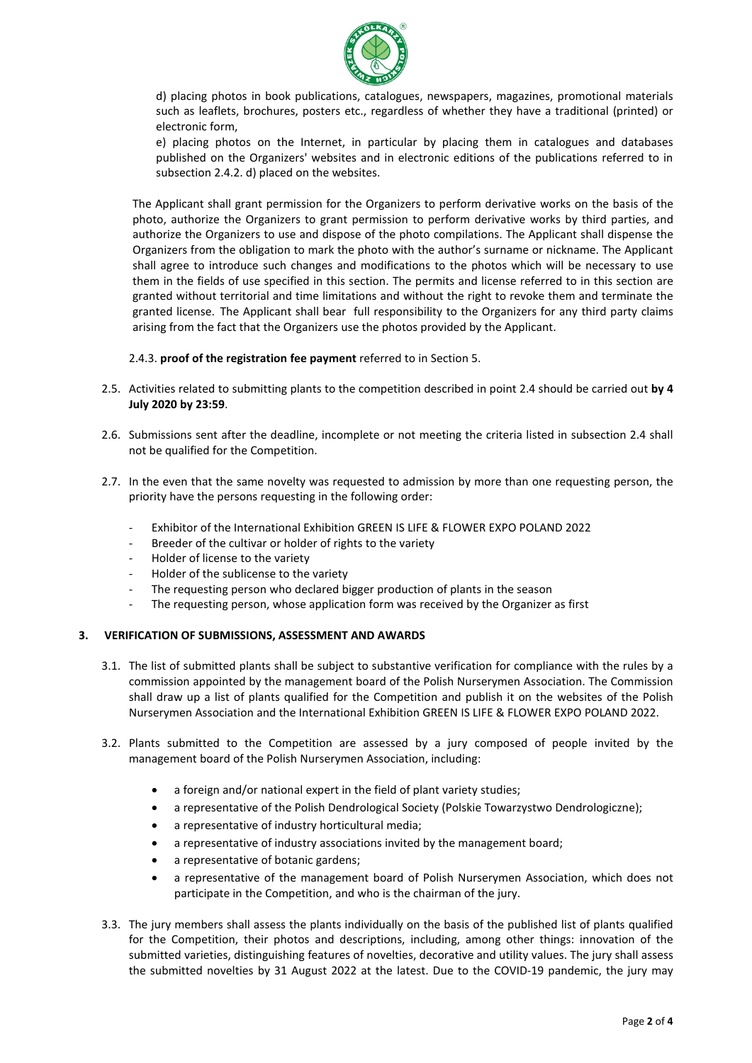

d) placing photos in book publications, catalogues, newspapers, magazines, promotional materials such as leaflets, brochures, posters etc., regardless of whether they have a traditional (printed) or electronic form,

e) placing photos on the Internet, in particular by placing them in catalogues and databases published on the Organizers' websites and in electronic editions of the publications referred to in subsection 2.4.2. d) placed on the websites.

The Applicant shall grant permission for the Organizers to perform derivative works on the basis of the photo, authorize the Organizers to grant permission to perform derivative works by third parties, and authorize the Organizers to use and dispose of the photo compilations. The Applicant shall dispense the Organizers from the obligation to mark the photo with the author's surname or nickname. The Applicant shall agree to introduce such changes and modifications to the photos which will be necessary to use them in the fields of use specified in this section. The permits and license referred to in this section are granted without territorial and time limitations and without the right to revoke them and terminate the granted license. The Applicant shall bear full responsibility to the Organizers for any third party claims arising from the fact that the Organizers use the photos provided by the Applicant.

#### 2.4.3. **proof of the registration fee payment** referred to in Section 5.

- 2.5. Activities related to submitting plants to the competition described in point 2.4 should be carried out **by 4 July 2020 by 23:59**.
- 2.6. Submissions sent after the deadline, incomplete or not meeting the criteria listed in subsection 2.4 shall not be qualified for the Competition.
- 2.7. In the even that the same novelty was requested to admission by more than one requesting person, the priority have the persons requesting in the following order:
	- Exhibitor of the International Exhibition GREEN IS LIFE & FLOWER EXPO POLAND 2022
	- Breeder of the cultivar or holder of rights to the variety
	- Holder of license to the variety
	- Holder of the sublicense to the variety
	- The requesting person who declared bigger production of plants in the season
	- The requesting person, whose application form was received by the Organizer as first

#### **3. VERIFICATION OF SUBMISSIONS, ASSESSMENT AND AWARDS**

- 3.1. The list of submitted plants shall be subject to substantive verification for compliance with the rules by a commission appointed by the management board of the Polish Nurserymen Association. The Commission shall draw up a list of plants qualified for the Competition and publish it on the websites of the Polish Nurserymen Association and the International Exhibition GREEN IS LIFE & FLOWER EXPO POLAND 2022.
- 3.2. Plants submitted to the Competition are assessed by a jury composed of people invited by the management board of the Polish Nurserymen Association, including:
	- a foreign and/or national expert in the field of plant variety studies;
	- a representative of the Polish Dendrological Society (Polskie Towarzystwo Dendrologiczne);
	- a representative of industry horticultural media:
	- a representative of industry associations invited by the management board;
	- a representative of botanic gardens;
	- a representative of the management board of Polish Nurserymen Association, which does not participate in the Competition, and who is the chairman of the jury.
- 3.3. The jury members shall assess the plants individually on the basis of the published list of plants qualified for the Competition, their photos and descriptions, including, among other things: innovation of the submitted varieties, distinguishing features of novelties, decorative and utility values. The jury shall assess the submitted novelties by 31 August 2022 at the latest. Due to the COVID-19 pandemic, the jury may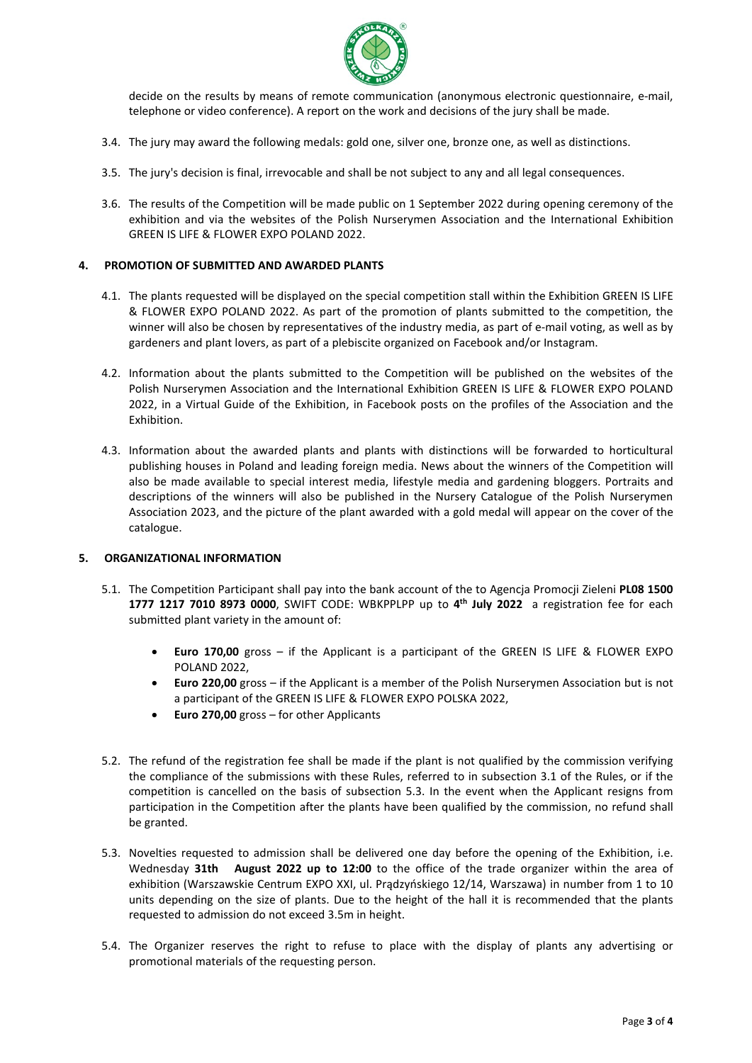

decide on the results by means of remote communication (anonymous electronic questionnaire, e-mail, telephone or video conference). A report on the work and decisions of the jury shall be made.

- 3.4. The jury may award the following medals: gold one, silver one, bronze one, as well as distinctions.
- 3.5. The jury's decision is final, irrevocable and shall be not subject to any and all legal consequences.
- 3.6. The results of the Competition will be made public on 1 September 2022 during opening ceremony of the exhibition and via the websites of the Polish Nurserymen Association and the International Exhibition GREEN IS LIFE & FLOWER EXPO POLAND 2022.

## **4. PROMOTION OF SUBMITTED AND AWARDED PLANTS**

- 4.1. The plants requested will be displayed on the special competition stall within the Exhibition GREEN IS LIFE & FLOWER EXPO POLAND 2022. As part of the promotion of plants submitted to the competition, the winner will also be chosen by representatives of the industry media, as part of e-mail voting, as well as by gardeners and plant lovers, as part of a plebiscite organized on Facebook and/or Instagram.
- 4.2. Information about the plants submitted to the Competition will be published on the websites of the Polish Nurserymen Association and the International Exhibition GREEN IS LIFE & FLOWER EXPO POLAND 2022, in a Virtual Guide of the Exhibition, in Facebook posts on the profiles of the Association and the Exhibition.
- 4.3. Information about the awarded plants and plants with distinctions will be forwarded to horticultural publishing houses in Poland and leading foreign media. News about the winners of the Competition will also be made available to special interest media, lifestyle media and gardening bloggers. Portraits and descriptions of the winners will also be published in the Nursery Catalogue of the Polish Nurserymen Association 2023, and the picture of the plant awarded with a gold medal will appear on the cover of the catalogue.

#### **5. ORGANIZATIONAL INFORMATION**

- 5.1. The Competition Participant shall pay into the bank account of the to Agencja Promocji Zieleni **PL08 1500 1777 1217 7010 8973 0000**, SWIFT CODE: WBKPPLPP up to **4 th July 2022** a registration fee for each submitted plant variety in the amount of:
	- **Euro 170,00** gross if the Applicant is a participant of the GREEN IS LIFE & FLOWER EXPO POLAND 2022,
	- **Euro 220,00** gross if the Applicant is a member of the Polish Nurserymen Association but is not a participant of the GREEN IS LIFE & FLOWER EXPO POLSKA 2022,
	- **Euro 270,00** gross for other Applicants
- 5.2. The refund of the registration fee shall be made if the plant is not qualified by the commission verifying the compliance of the submissions with these Rules, referred to in subsection 3.1 of the Rules, or if the competition is cancelled on the basis of subsection 5.3. In the event when the Applicant resigns from participation in the Competition after the plants have been qualified by the commission, no refund shall be granted.
- 5.3. Novelties requested to admission shall be delivered one day before the opening of the Exhibition, i.e. Wednesday **31th August 2022 up to 12:00** to the office of the trade organizer within the area of exhibition (Warszawskie Centrum EXPO XXI, ul. Prądzyńskiego 12/14, Warszawa) in number from 1 to 10 units depending on the size of plants. Due to the height of the hall it is recommended that the plants requested to admission do not exceed 3.5m in height.
- 5.4. The Organizer reserves the right to refuse to place with the display of plants any advertising or promotional materials of the requesting person.